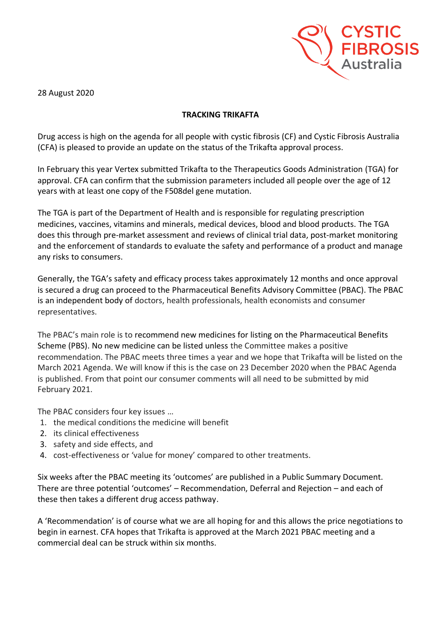

28 August 2020

## **TRACKING TRIKAFTA**

Drug access is high on the agenda for all people with cystic fibrosis (CF) and Cystic Fibrosis Australia (CFA) is pleased to provide an update on the status of the Trikafta approval process.

In February this year Vertex submitted Trikafta to the Therapeutics Goods Administration (TGA) for approval. CFA can confirm that the submission parameters included all people over the age of 12 years with at least one copy of the F508del gene mutation.

The TGA is part of the [Department of Health](http://www.health.gov.au/) and is responsible for regulating prescription medicines, vaccines, vitamins and minerals, medical devices, blood and blood products. The TGA does this through pre-market assessment and reviews of clinical trial data, post-market monitoring and the enforcement of standards to evaluate the safety and performance of a product and manage any risks to consumers.

Generally, the TGA's safety and efficacy process takes approximately 12 months and once approval is secured a drug can proceed to the Pharmaceutical Benefits Advisory Committee (PBAC). The PBAC is an independent body of doctors, health professionals, health economists and consumer representatives.

The PBAC's main role is to recommend new medicines for listing on the Pharmaceutical Benefits Scheme (PBS). No new medicine can be listed unless the Committee makes a positive recommendation. The PBAC meets three times a year and we hope that Trikafta will be listed on the March 2021 Agenda. We will know if this is the case on 23 December 2020 when the PBAC Agenda is published. From that point our consumer comments will all need to be submitted by mid February 2021.

The PBAC considers four key issues …

- 1. the medical conditions the medicine will benefit
- 2. its clinical effectiveness
- 3. safety and side effects, and
- 4. cost-effectiveness or 'value for money' compared to other treatments.

Six weeks after the PBAC meeting its 'outcomes' are published in a Public Summary Document. There are three potential 'outcomes' – Recommendation, Deferral and Rejection – and each of these then takes a different drug access pathway.

A 'Recommendation' is of course what we are all hoping for and this allows the price negotiations to begin in earnest. CFA hopes that Trikafta is approved at the March 2021 PBAC meeting and a commercial deal can be struck within six months.